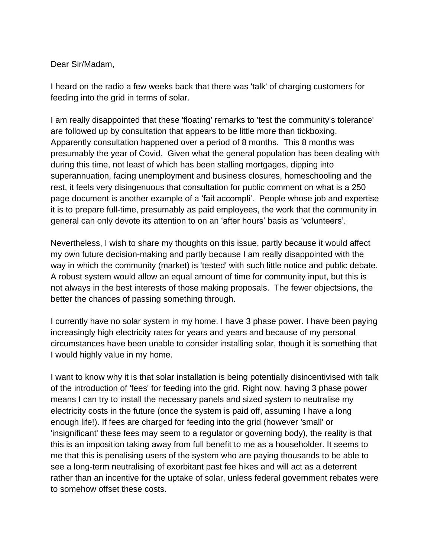## Dear Sir/Madam,

I heard on the radio a few weeks back that there was 'talk' of charging customers for feeding into the grid in terms of solar.

I am really disappointed that these 'floating' remarks to 'test the community's tolerance' are followed up by consultation that appears to be little more than tickboxing. Apparently consultation happened over a period of 8 months. This 8 months was presumably the year of Covid. Given what the general population has been dealing with during this time, not least of which has been stalling mortgages, dipping into superannuation, facing unemployment and business closures, homeschooling and the rest, it feels very disingenuous that consultation for public comment on what is a 250 page document is another example of a 'fait accompli'. People whose job and expertise it is to prepare full-time, presumably as paid employees, the work that the community in general can only devote its attention to on an 'after hours' basis as 'volunteers'.

Nevertheless, I wish to share my thoughts on this issue, partly because it would affect my own future decision-making and partly because I am really disappointed with the way in which the community (market) is 'tested' with such little notice and public debate. A robust system would allow an equal amount of time for community input, but this is not always in the best interests of those making proposals. The fewer objectsions, the better the chances of passing something through.

I currently have no solar system in my home. I have 3 phase power. I have been paying increasingly high electricity rates for years and years and because of my personal circumstances have been unable to consider installing solar, though it is something that I would highly value in my home.

I want to know why it is that solar installation is being potentially disincentivised with talk of the introduction of 'fees' for feeding into the grid. Right now, having 3 phase power means I can try to install the necessary panels and sized system to neutralise my electricity costs in the future (once the system is paid off, assuming I have a long enough life!). If fees are charged for feeding into the grid (however 'small' or 'insignificant' these fees may seem to a regulator or governing body), the reality is that this is an imposition taking away from full benefit to me as a householder. It seems to me that this is penalising users of the system who are paying thousands to be able to see a long-term neutralising of exorbitant past fee hikes and will act as a deterrent rather than an incentive for the uptake of solar, unless federal government rebates were to somehow offset these costs.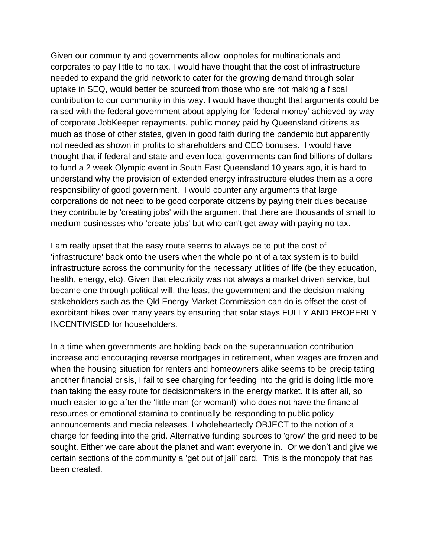Given our community and governments allow loopholes for multinationals and corporates to pay little to no tax, I would have thought that the cost of infrastructure needed to expand the grid network to cater for the growing demand through solar uptake in SEQ, would better be sourced from those who are not making a fiscal contribution to our community in this way. I would have thought that arguments could be raised with the federal government about applying for 'federal money' achieved by way of corporate JobKeeper repayments, public money paid by Queensland citizens as much as those of other states, given in good faith during the pandemic but apparently not needed as shown in profits to shareholders and CEO bonuses. I would have thought that if federal and state and even local governments can find billions of dollars to fund a 2 week Olympic event in South East Queensland 10 years ago, it is hard to understand why the provision of extended energy infrastructure eludes them as a core responsibility of good government. I would counter any arguments that large corporations do not need to be good corporate citizens by paying their dues because they contribute by 'creating jobs' with the argument that there are thousands of small to medium businesses who 'create jobs' but who can't get away with paying no tax.

I am really upset that the easy route seems to always be to put the cost of 'infrastructure' back onto the users when the whole point of a tax system is to build infrastructure across the community for the necessary utilities of life (be they education, health, energy, etc). Given that electricity was not always a market driven service, but became one through political will, the least the government and the decision-making stakeholders such as the Qld Energy Market Commission can do is offset the cost of exorbitant hikes over many years by ensuring that solar stays FULLY AND PROPERLY INCENTIVISED for householders.

In a time when governments are holding back on the superannuation contribution increase and encouraging reverse mortgages in retirement, when wages are frozen and when the housing situation for renters and homeowners alike seems to be precipitating another financial crisis, I fail to see charging for feeding into the grid is doing little more than taking the easy route for decisionmakers in the energy market. It is after all, so much easier to go after the 'little man (or woman!)' who does not have the financial resources or emotional stamina to continually be responding to public policy announcements and media releases. I wholeheartedly OBJECT to the notion of a charge for feeding into the grid. Alternative funding sources to 'grow' the grid need to be sought. Either we care about the planet and want everyone in. Or we don't and give we certain sections of the community a 'get out of jail' card. This is the monopoly that has been created.